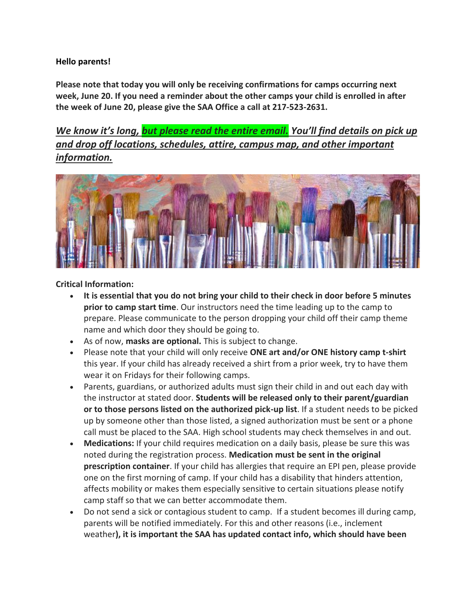## **Hello parents!**

**Please note that today you will only be receiving confirmations for camps occurring next week, June 20. If you need a reminder about the other camps your child is enrolled in after the week of June 20, please give the SAA Office a call at 217-523-2631.**

*We know it's long, but please read the entire email. You'll find details on pick up and drop off locations, schedules, attire, campus map, and other important information.*



## **Critical Information:**

- **It is essential that you do not bring your child to their check in door before 5 minutes prior to camp start time**. Our instructors need the time leading up to the camp to prepare. Please communicate to the person dropping your child off their camp theme name and which door they should be going to.
- As of now, **masks are optional.** This is subject to change.
- Please note that your child will only receive **ONE art and/or ONE history camp t-shirt** this year. If your child has already received a shirt from a prior week, try to have them wear it on Fridays for their following camps.
- Parents, guardians, or authorized adults must sign their child in and out each day with the instructor at stated door. **Students will be released only to their parent/guardian or to those persons listed on the authorized pick-up list**. If a student needs to be picked up by someone other than those listed, a signed authorization must be sent or a phone call must be placed to the SAA. High school students may check themselves in and out.
- **Medications:** If your child requires medication on a daily basis, please be sure this was noted during the registration process. **Medication must be sent in the original prescription container**. If your child has allergies that require an EPI pen, please provide one on the first morning of camp. If your child has a disability that hinders attention, affects mobility or makes them especially sensitive to certain situations please notify camp staff so that we can better accommodate them.
- Do not send a sick or contagious student to camp. If a student becomes ill during camp, parents will be notified immediately. For this and other reasons (i.e., inclement weather**), it is important the SAA has updated contact info, which should have been**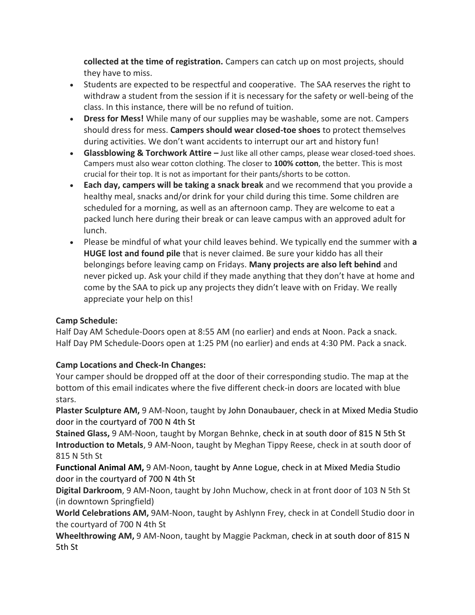**collected at the time of registration.** Campers can catch up on most projects, should they have to miss.

- Students are expected to be respectful and cooperative. The SAA reserves the right to withdraw a student from the session if it is necessary for the safety or well-being of the class. In this instance, there will be no refund of tuition.
- **Dress for Mess!** While many of our supplies may be washable, some are not. Campers should dress for mess. **Campers should wear closed-toe shoes** to protect themselves during activities. We don't want accidents to interrupt our art and history fun!
- **Glassblowing & Torchwork Attire –** Just like all other camps, please wear closed-toed shoes. Campers must also wear cotton clothing. The closer to **100% cotton**, the better. This is most crucial for their top. It is not as important for their pants/shorts to be cotton.
- **Each day, campers will be taking a snack break** and we recommend that you provide a healthy meal, snacks and/or drink for your child during this time. Some children are scheduled for a morning, as well as an afternoon camp. They are welcome to eat a packed lunch here during their break or can leave campus with an approved adult for lunch.
- Please be mindful of what your child leaves behind. We typically end the summer with **a HUGE lost and found pile** that is never claimed. Be sure your kiddo has all their belongings before leaving camp on Fridays. **Many projects are also left behind** and never picked up. Ask your child if they made anything that they don't have at home and come by the SAA to pick up any projects they didn't leave with on Friday. We really appreciate your help on this!

## **Camp Schedule:**

Half Day AM Schedule-Doors open at 8:55 AM (no earlier) and ends at Noon. Pack a snack. Half Day PM Schedule-Doors open at 1:25 PM (no earlier) and ends at 4:30 PM. Pack a snack.

## **Camp Locations and Check-In Changes:**

Your camper should be dropped off at the door of their corresponding studio. The map at the bottom of this email indicates where the five different check-in doors are located with blue stars.

**Plaster Sculpture AM,** 9 AM-Noon, taught by John Donaubauer, check in at Mixed Media Studio door in the courtyard of 700 N 4th St

**Stained Glass,** 9 AM-Noon, taught by Morgan Behnke, check in at south door of 815 N 5th St **Introduction to Metals**, 9 AM-Noon, taught by Meghan Tippy Reese, check in at south door of 815 N 5th St

**Functional Animal AM,** 9 AM-Noon, taught by Anne Logue, check in at Mixed Media Studio door in the courtyard of 700 N 4th St

**Digital Darkroom**, 9 AM-Noon, taught by John Muchow, check in at front door of 103 N 5th St (in downtown Springfield)

**World Celebrations AM,** 9AM-Noon, taught by Ashlynn Frey, check in at Condell Studio door in the courtyard of 700 N 4th St

**Wheelthrowing AM,** 9 AM-Noon, taught by Maggie Packman, check in at south door of 815 N 5th St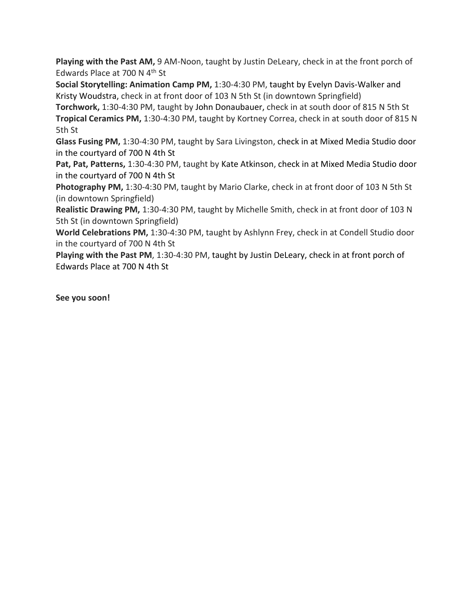Playing with the Past AM, 9 AM-Noon, taught by Justin DeLeary, check in at the front porch of Edwards Place at 700 N 4th St

**Social Storytelling: Animation Camp PM,** 1:30-4:30 PM, taught by Evelyn Davis-Walker and Kristy Woudstra, check in at front door of 103 N 5th St (in downtown Springfield)

**Torchwork,** 1:30-4:30 PM, taught by John Donaubauer, check in at south door of 815 N 5th St **Tropical Ceramics PM,** 1:30-4:30 PM, taught by Kortney Correa, check in at south door of 815 N 5th St

**Glass Fusing PM,** 1:30-4:30 PM, taught by Sara Livingston, check in at Mixed Media Studio door in the courtyard of 700 N 4th St

**Pat, Pat, Patterns,** 1:30-4:30 PM, taught by Kate Atkinson, check in at Mixed Media Studio door in the courtyard of 700 N 4th St

**Photography PM,** 1:30-4:30 PM, taught by Mario Clarke, check in at front door of 103 N 5th St (in downtown Springfield)

**Realistic Drawing PM,** 1:30-4:30 PM, taught by Michelle Smith, check in at front door of 103 N 5th St (in downtown Springfield)

**World Celebrations PM,** 1:30-4:30 PM, taught by Ashlynn Frey, check in at Condell Studio door in the courtyard of 700 N 4th St

**Playing with the Past PM**, 1:30-4:30 PM, taught by Justin DeLeary, check in at front porch of Edwards Place at 700 N 4th St

**See you soon!**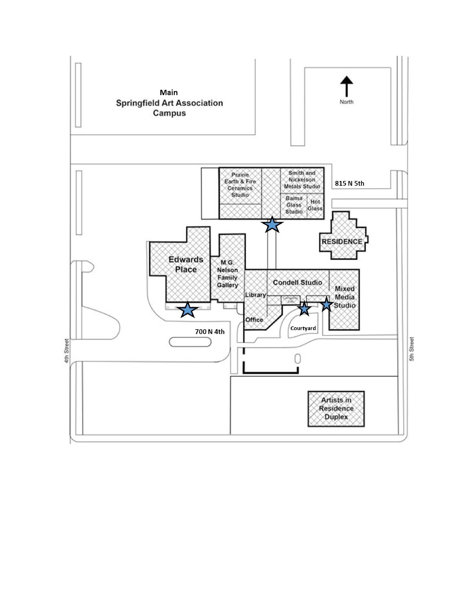